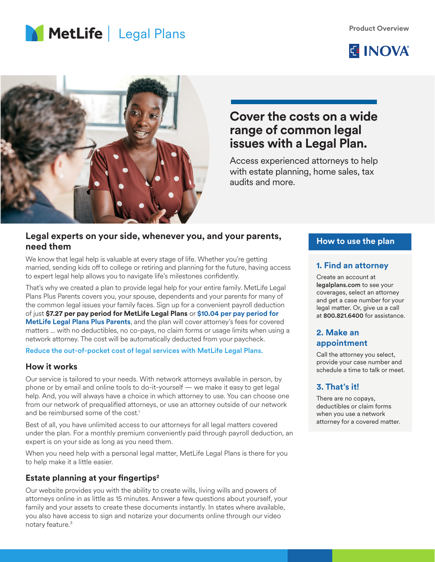





## **Cover the costs on a wide range of common legal issues with a Legal Plan.**

Access experienced attorneys to help with estate planning, home sales, tax audits and more.

#### **Legal experts on your side, whenever you, and your parents, need them**

We know that legal help is valuable at every stage of life. Whether you're getting married, sending kids off to college or retiring and planning for the future, having access to expert legal help allows you to navigate life's milestones confidently.

That's why we created a plan to provide legal help for your entire family. MetLife Legal Plans Plus Parents covers you, your spouse, dependents and your parents for many of the common legal issues your family faces. Sign up for a convenient payroll deduction of just **\$7.27 per pay period for MetLife Legal Plans** or **\$10.04 per pay period for MetLife Legal Plans Plus Parents**, and the plan will cover attorney's fees for covered matters ... with no deductibles, no co-pays, no claim forms or usage limits when using a network attorney. The cost will be automatically deducted from your paycheck.

Reduce the out-of-pocket cost of legal services with MetLife Legal Plans.

#### **How it works**

Our service is tailored to your needs. With network attorneys available in person, by phone or by email and online tools to do-it-yourself — we make it easy to get legal help. And, you will always have a choice in which attorney to use. You can choose one from our network of prequalified attorneys, or use an attorney outside of our network and be reimbursed some of the cost.<sup>1</sup>

Best of all, you have unlimited access to our attorneys for all legal matters covered under the plan. For a monthly premium conveniently paid through payroll deduction, an expert is on your side as long as you need them.

When you need help with a personal legal matter, MetLife Legal Plans is there for you to help make it a little easier.

#### **Estate planning at your fingertips2**

Our website provides you with the ability to create wills, living wills and powers of attorneys online in as little as 15 minutes. Answer a few questions about yourself, your family and your assets to create these documents instantly. In states where available, you also have access to sign and notarize your documents online through our video notary feature.<sup>3</sup>

#### **How to use the plan**

#### **1. Find an attorney**

Create an account at legalplans.com to see your coverages, select an attorney and get a case number for your legal matter. Or, give us a call at 800.821.6400 for assistance.

#### **2. Make an appointment**

Call the attorney you select, provide your case number and schedule a time to talk or meet.

### **3. That's it!**

There are no copays, deductibles or claim forms when you use a network attorney for a covered matter.